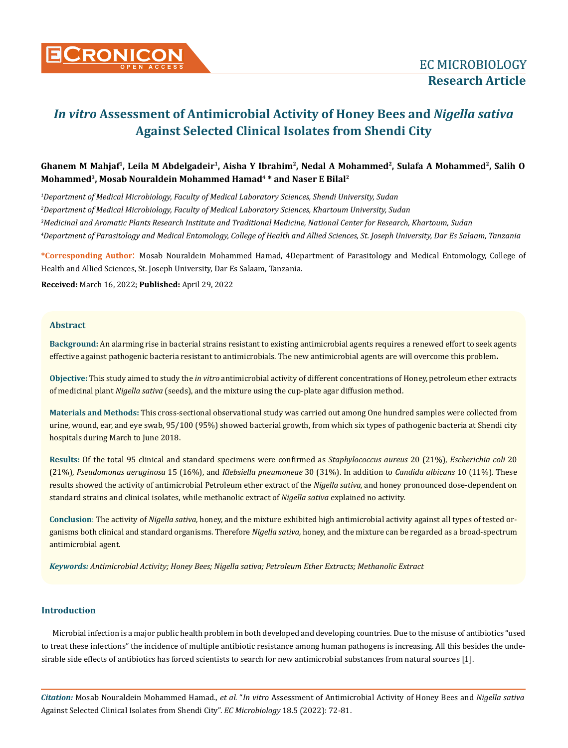

# Ghanem M Mahjaf<sup>1</sup>, Leila M Abdelgadeir<sup>1</sup>, Aisha Y Ibrahim<sup>2</sup>, Nedal A Mohammed<sup>2</sup>, Sulafa A Mohammed<sup>2</sup>, Salih O **Mohammed3, Mosab Nouraldein Mohammed Hamad4 \* and Naser E Bilal2**

 *Department of Medical Microbiology, Faculty of Medical Laboratory Sciences, Shendi University, Sudan Department of Medical Microbiology, Faculty of Medical Laboratory Sciences, Khartoum University, Sudan Medicinal and Aromatic Plants Research Institute and Traditional Medicine, National Center for Research, Khartoum, Sudan Department of Parasitology and Medical Entomology, College of Health and Allied Sciences, St. Joseph University, Dar Es Salaam, Tanzania*

**\*Corresponding Author**: Mosab Nouraldein Mohammed Hamad, 4Department of Parasitology and Medical Entomology, College of Health and Allied Sciences, St. Joseph University, Dar Es Salaam, Tanzania.

**Received:** March 16, 2022; **Published:** April 29, 2022

# **Abstract**

**Background:** An alarming rise in bacterial strains resistant to existing antimicrobial agents requires a renewed effort to seek agents effective against pathogenic bacteria resistant to antimicrobials. The new antimicrobial agents are will overcome this problem**.** 

**Objective:** This study aimed to study the *in vitro* antimicrobial activity of different concentrations of Honey, petroleum ether extracts of medicinal plant *Nigella sativa* (seeds), and the mixture using the cup-plate agar diffusion method.

**Materials and Methods:** This cross-sectional observational study was carried out among One hundred samples were collected from urine, wound, ear, and eye swab, 95/100 (95%) showed bacterial growth, from which six types of pathogenic bacteria at Shendi city hospitals during March to June 2018.

**Results:** Of the total 95 clinical and standard specimens were confirmed as *Staphylococcus aureus* 20 (21%), *Escherichia coli* 20 (21%), *Pseudomonas aeruginosa* 15 (16%), and *Klebsiella pneumoneae* 30 (31%). In addition to *Candida albicans* 10 (11%)*.* These results showed the activity of antimicrobial Petroleum ether extract of the *Nigella sativa,* and honey pronounced dose-dependent on standard strains and clinical isolates, while methanolic extract of *Nigella sativa* explained no activity.

**Conclusion**: The activity of *Nigella sativa,* honey, and the mixture exhibited high antimicrobial activity against all types of tested organisms both clinical and standard organisms. Therefore *Nigella sativa,* honey, and the mixture can be regarded as a broad-spectrum antimicrobial agent.

*Keywords: Antimicrobial Activity; Honey Bees; Nigella sativa; Petroleum Ether Extracts; Methanolic Extract*

#### **Introduction**

Microbial infection is a major public health problem in both developed and developing countries. Due to the misuse of antibiotics "used to treat these infections" the incidence of multiple antibiotic resistance among human pathogens is increasing. All this besides the undesirable side effects of antibiotics has forced scientists to search for new antimicrobial substances from natural sources [1].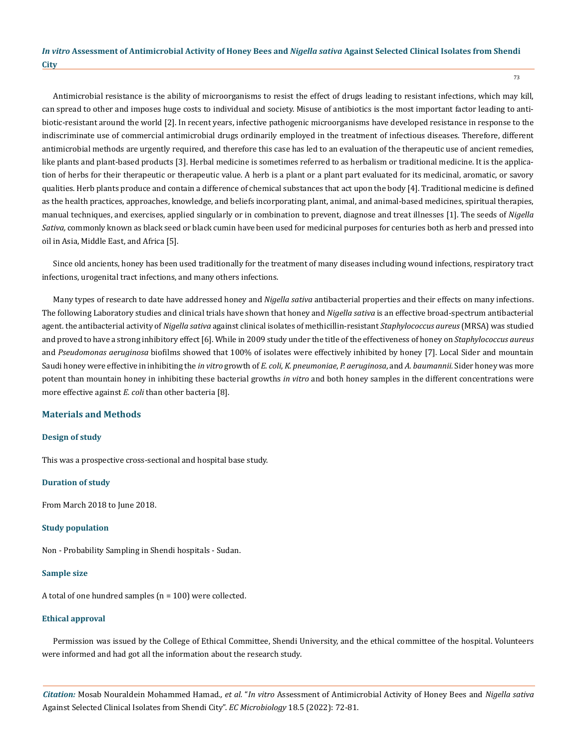Antimicrobial resistance is the ability of microorganisms to resist the effect of drugs leading to resistant infections, which may kill, can spread to other and imposes huge costs to individual and society. Misuse of antibiotics is the most important factor leading to antibiotic-resistant around the world [2]. In recent years, infective pathogenic microorganisms have developed resistance in response to the indiscriminate use of commercial antimicrobial drugs ordinarily employed in the treatment of infectious diseases. Therefore, different antimicrobial methods are urgently required, and therefore this case has led to an evaluation of the therapeutic use of ancient remedies, like plants and plant-based products [3]. Herbal medicine is sometimes referred to as herbalism or traditional medicine. It is the application of herbs for their therapeutic or therapeutic value. A herb is a plant or a plant part evaluated for its medicinal, aromatic, or savory qualities. Herb plants produce and contain a difference of chemical substances that act upon the body [4]. Traditional medicine is defined as the health practices, approaches, knowledge, and beliefs incorporating plant, animal, and animal-based medicines, spiritual therapies, manual techniques, and exercises, applied singularly or in combination to prevent, diagnose and treat illnesses [1]. The seeds of *Nigella Sativa,* commonly known as black seed or black cumin have been used for medicinal purposes for centuries both as herb and pressed into oil in Asia, Middle East, and Africa [5].

Since old ancients, honey has been used traditionally for the treatment of many diseases including wound infections, respiratory tract infections, urogenital tract infections, and many others infections.

Many types of research to date have addressed honey and *Nigella sativa* antibacterial properties and their effects on many infections. The following Laboratory studies and clinical trials have shown that honey and *Nigella sativa* is an effective broad-spectrum antibacterial agent. the antibacterial activity of *Nigella sativa* against clinical isolates of methicillin-resistant *Staphylococcus aureus* (MRSA) was studied and proved to have a strong inhibitory effect [6]. While in 2009 study under the title of the effectiveness of honey on *Staphylococcus aureus*  and *Pseudomonas aeruginosa* biofilms showed that 100% of isolates were effectively inhibited by honey [7]. Local Sider and mountain Saudi honey were effective in inhibiting the *in vitro* growth of *E. coli*, *K. pneumoniae*, *P. aeruginosa*, and *A. baumannii.* Sider honey was more potent than mountain honey in inhibiting these bacterial growths *in vitro* and both honey samples in the different concentrations were more effective against *E. coli* than other bacteria [8].

#### **Materials and Methods**

#### **Design of study**

This was a prospective cross-sectional and hospital base study.

#### **Duration of study**

From March 2018 to June 2018.

#### **Study population**

Non - Probability Sampling in Shendi hospitals - Sudan.

#### **Sample size**

A total of one hundred samples  $(n = 100)$  were collected.

#### **Ethical approval**

Permission was issued by the College of Ethical Committee, Shendi University, and the ethical committee of the hospital. Volunteers were informed and had got all the information about the research study.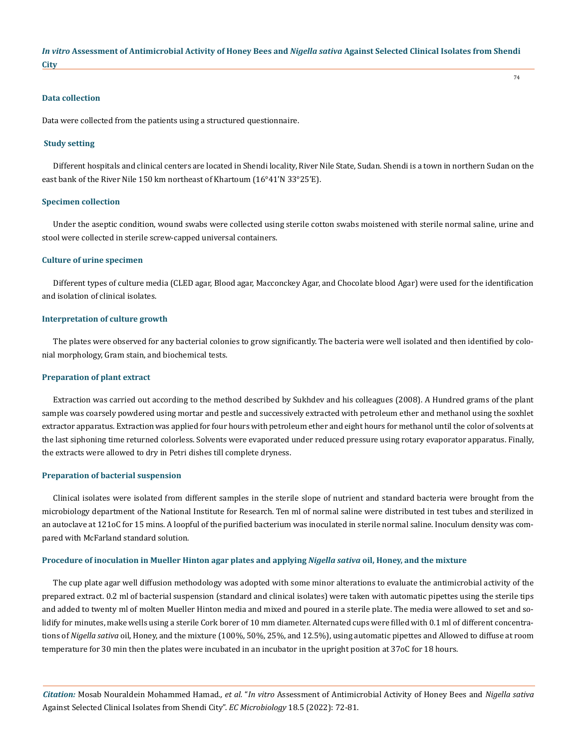#### **Data collection**

Data were collected from the patients using a structured questionnaire.

#### **Study setting**

Different hospitals and clinical centers are located in Shendi locality, River Nile State, Sudan. Shendi is a town in northern Sudan on the east bank of the River Nile 150 km northeast of Khartoum (16°41'N 33°25'E).

#### **Specimen collection**

Under the aseptic condition, wound swabs were collected using sterile cotton swabs moistened with sterile normal saline, urine and stool were collected in sterile screw-capped universal containers.

#### **Culture of urine specimen**

Different types of culture media (CLED agar, Blood agar, Macconckey Agar, and Chocolate blood Agar) were used for the identification and isolation of clinical isolates.

#### **Interpretation of culture growth**

The plates were observed for any bacterial colonies to grow significantly. The bacteria were well isolated and then identified by colonial morphology, Gram stain, and biochemical tests.

#### **Preparation of plant extract**

Extraction was carried out according to the method described by Sukhdev and his colleagues (2008). A Hundred grams of the plant sample was coarsely powdered using mortar and pestle and successively extracted with petroleum ether and methanol using the soxhlet extractor apparatus. Extraction was applied for four hours with petroleum ether and eight hours for methanol until the color of solvents at the last siphoning time returned colorless. Solvents were evaporated under reduced pressure using rotary evaporator apparatus. Finally, the extracts were allowed to dry in Petri dishes till complete dryness.

#### **Preparation of bacterial suspension**

Clinical isolates were isolated from different samples in the sterile slope of nutrient and standard bacteria were brought from the microbiology department of the National Institute for Research. Ten ml of normal saline were distributed in test tubes and sterilized in an autoclave at 121oC for 15 mins. A loopful of the purified bacterium was inoculated in sterile normal saline. Inoculum density was compared with McFarland standard solution.

#### **Procedure of inoculation in Mueller Hinton agar plates and applying** *Nigella sativa* **oil, Honey, and the mixture**

The cup plate agar well diffusion methodology was adopted with some minor alterations to evaluate the antimicrobial activity of the prepared extract. 0.2 ml of bacterial suspension (standard and clinical isolates) were taken with automatic pipettes using the sterile tips and added to twenty ml of molten Mueller Hinton media and mixed and poured in a sterile plate. The media were allowed to set and solidify for minutes, make wells using a sterile Cork borer of 10 mm diameter. Alternated cups were filled with 0.1 ml of different concentrations of *Nigella sativa* oil, Honey, and the mixture (100%, 50%, 25%, and 12.5%), using automatic pipettes and Allowed to diffuse at room temperature for 30 min then the plates were incubated in an incubator in the upright position at 37oC for 18 hours.

*Citation:* Mosab Nouraldein Mohammed Hamad*., et al.* "*In vitro* Assessment of Antimicrobial Activity of Honey Bees and *Nigella sativa*  Against Selected Clinical Isolates from Shendi City". *EC Microbiology* 18.5 (2022): 72-81.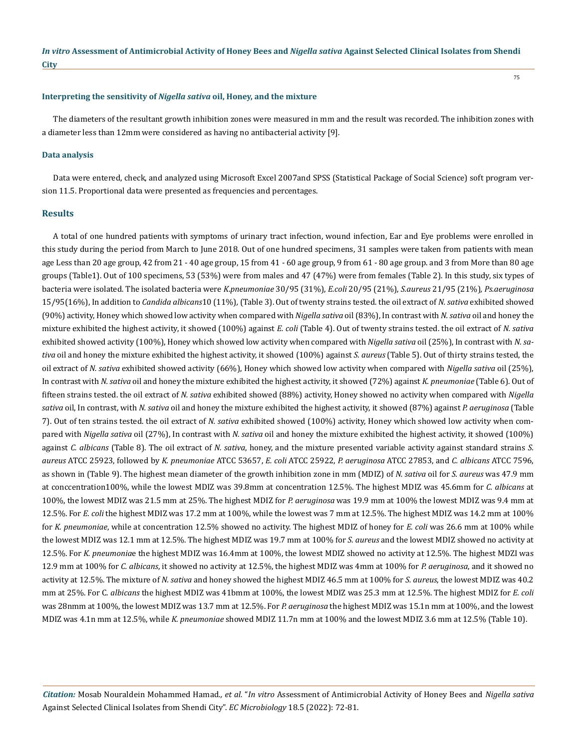#### **Interpreting the sensitivity of** *Nigella sativa* **oil, Honey, and the mixture**

The diameters of the resultant growth inhibition zones were measured in mm and the result was recorded. The inhibition zones with a diameter less than 12mm were considered as having no antibacterial activity [9].

#### **Data analysis**

Data were entered, check, and analyzed using Microsoft Excel 2007and SPSS (Statistical Package of Social Science) soft program version 11.5. Proportional data were presented as frequencies and percentages.

#### **Results**

A total of one hundred patients with symptoms of urinary tract infection, wound infection, Ear and Eye problems were enrolled in this study during the period from March to June 2018. Out of one hundred specimens, 31 samples were taken from patients with mean age Less than 20 age group, 42 from 21 - 40 age group, 15 from 41 - 60 age group, 9 from 61 - 80 age group. and 3 from More than 80 age groups (Table1). Out of 100 specimens, 53 (53%) were from males and 47 (47%) were from females (Table 2). In this study, six types of bacteria were isolated. The isolated bacteria were *K*.*pneumoniae* 30/95 (31%), *E.coli* 20/95 (21%), *S.aureus* 21/95 (21%)*, Ps.aeruginosa* 15/95(16%), In addition to *Candida albicans*10 (11%)*,* (Table 3). Out of twenty strains tested. the oil extract of *N. sativa* exhibited showed (90%) activity, Honey which showed low activity when compared with *Nigella sativa* oil (83%), In contrast with *N. sativa* oil and honey the mixture exhibited the highest activity, it showed (100%) against *E. coli* (Table 4). Out of twenty strains tested. the oil extract of *N. sativa* exhibited showed activity (100%), Honey which showed low activity when compared with *Nigella sativa* oil (25%), In contrast with *N. sativa* oil and honey the mixture exhibited the highest activity, it showed (100%) against *S. aureus* (Table 5). Out of thirty strains tested, the oil extract of *N. sativa* exhibited showed activity (66%), Honey which showed low activity when compared with *Nigella sativa* oil (25%), In contrast with *N. sativa* oil and honey the mixture exhibited the highest activity, it showed (72%) against *K. pneumoniae* (Table 6). Out of fifteen strains tested. the oil extract of *N. sativa* exhibited showed (88%) activity, Honey showed no activity when compared with *Nigella sativa* oil, In contrast, with *N. sativa* oil and honey the mixture exhibited the highest activity, it showed (87%) against *P. aeruginosa* (Table 7). Out of ten strains tested. the oil extract of *N. sativa* exhibited showed (100%) activity, Honey which showed low activity when compared with *Nigella sativa* oil (27%), In contrast with *N. sativa* oil and honey the mixture exhibited the highest activity, it showed (100%) against *C. albicans* (Table 8). The oil extract of *N. sativa*, honey, and the mixture presented variable activity against standard strains *S. aureus* ATCC 25923, followed by *K. pneumoniae* ATCC 53657, *E. coli* ATCC 25922, *P. aeruginosa* ATCC 27853, and *C. albicans* ATCC 7596, as shown in (Table 9). The highest mean diameter of the growth inhibition zone in mm (MDIZ) of *N. sativa* oil for *S. aureus* was 47.9 mm at conccentration100%, while the lowest MDIZ was 39.8mm at concentration 12.5%. The highest MDIZ was 45.6mm for *C. albicans* at 100%, the lowest MDIZ was 21.5 mm at 25%. The highest MDIZ for *P. aeruginosa* was 19.9 mm at 100% the lowest MDIZ was 9.4 mm at 12.5%. For *E. coli* the highest MDIZ was 17.2 mm at 100%, while the lowest was 7 mm at 12.5%. The highest MDIZ was 14.2 mm at 100% for *K. pneumoniae*, while at concentration 12.5% showed no activity. The highest MDIZ of honey for *E. coli* was 26.6 mm at 100% while the lowest MDIZ was 12.1 mm at 12.5%. The highest MDIZ was 19.7 mm at 100% for *S. aureus* and the lowest MDIZ showed no activity at 12.5%. For *K. pneumonia*e the highest MDIZ was 16.4mm at 100%, the lowest MDIZ showed no activity at 12.5%. The highest MDZI was 12.9 mm at 100% for *C. albicans*, it showed no activity at 12.5%, the highest MDIZ was 4mm at 100% for *P. aeruginosa*, and it showed no activity at 12.5%. The mixture of *N. sativa* and honey showed the highest MDIZ 46.5 mm at 100% for *S. aureus*, the lowest MDIZ was 40.2 mm at 25%. For C*. albicans* the highest MDIZ was 41bmm at 100%, the lowest MDIZ was 25.3 mm at 12.5%. The highest MDIZ for *E. coli* was 28nmm at 100%, the lowest MDIZ was 13.7 mm at 12.5%. For *P. aeruginosa* the highest MDIZ was 15.1n mm at 100%, and the lowest MDIZ was 4.1n mm at 12.5%, while *K. pneumoniae* showed MDIZ 11.7n mm at 100% and the lowest MDIZ 3.6 mm at 12.5% (Table 10).

*Citation:* Mosab Nouraldein Mohammed Hamad*., et al.* "*In vitro* Assessment of Antimicrobial Activity of Honey Bees and *Nigella sativa*  Against Selected Clinical Isolates from Shendi City". *EC Microbiology* 18.5 (2022): 72-81.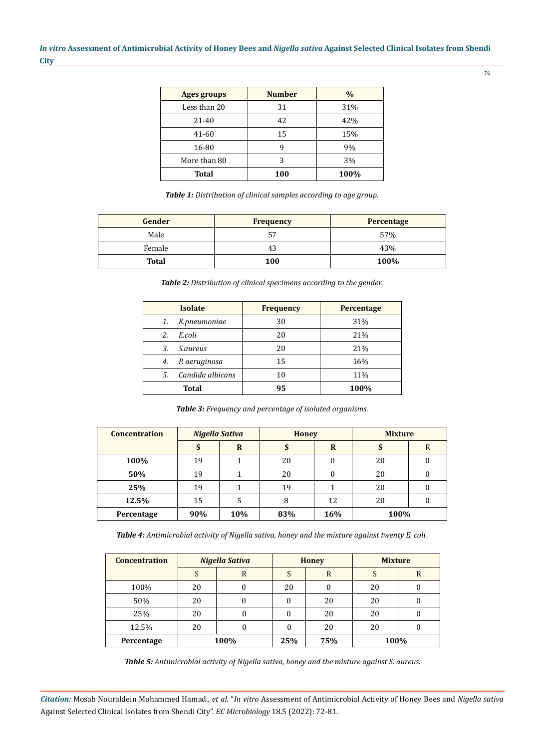76

| <b>Ages groups</b> | <b>Number</b> | $\frac{0}{0}$ |
|--------------------|---------------|---------------|
| Less than 20       | 31            | 31%           |
| $21 - 40$          | 42            | 42%           |
| 41-60              | 15            | 15%           |
| 16-80              | q             | 9%            |
| More than 80       | 3             | 3%            |
| <b>Total</b>       | 100           | 100%          |

*Table 1: Distribution of clinical samples according to age group.*

| Gender | <b>Frequency</b> | Percentage |
|--------|------------------|------------|
| Male   |                  | 57%        |
| Female | 43               | 43%        |
| Total  | 100              | 100%       |

*Table 2: Distribution of clinical specimens according to the gender.*

|     | <b>Isolate</b>   | <b>Frequency</b> | <b>Percentage</b> |
|-----|------------------|------------------|-------------------|
| 1.  | K.pneumoniae     | 30               | 31%               |
| 2.  | E.coli           | 20               | 21%               |
| 3.  | <i>S.aureus</i>  | 20               | 21%               |
| 4.  | P. aeruginosa    | 15               | 16%               |
| .5. | Candida albicans | 10               | 11%               |
|     | <b>Total</b>     | 95               | 100%              |

*Table 3: Frequency and percentage of isolated organisms.*

| <b>Concentration</b> | Nigella Sativa |     | <b>Honey</b> |     | <b>Mixture</b> |   |  |
|----------------------|----------------|-----|--------------|-----|----------------|---|--|
|                      | S              | R   | S            | R   | S              | R |  |
| 100%                 | 19             |     | 20           | 0   | 20             |   |  |
| 50%                  | 19             |     | 20           | 0   | 20             |   |  |
| 25%                  | 19             |     | 19           |     | 20             |   |  |
| 12.5%                | 15             | 5   | 8            | 12  | 20             |   |  |
| Percentage           | 90%            | 10% | 83%          | 16% | 100%           |   |  |

*Table 4: Antimicrobial activity of Nigella sativa, honey and the mixture against twenty E. coli.*

| <b>Concentration</b> |    | Nigella Sativa | <b>Honey</b> |    | <b>Mixture</b> |   |
|----------------------|----|----------------|--------------|----|----------------|---|
|                      | S  | R              |              | R  |                | R |
| 100%                 | 20 |                | 20           |    | 20             |   |
| 50%                  | 20 |                |              | 20 | 20             |   |
| 25%                  | 20 |                |              | 20 | 20             |   |
| 12.5%                | 20 |                |              | 20 | 20             |   |
| Percentage           |    | 100%           | 75%<br>25%   |    | 100%           |   |

*Table 5: Antimicrobial activity of Nigella sativa, honey and the mixture against S. aureus*.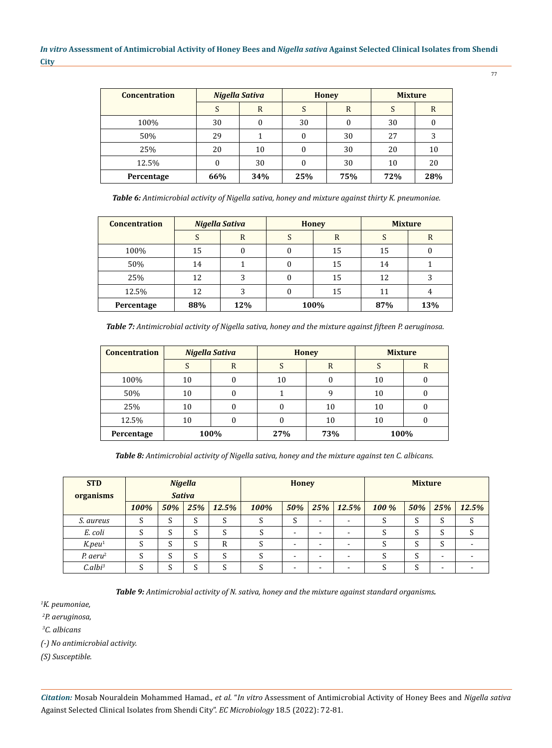77

| <b>Concentration</b> |          | Nigella Sativa |     | <b>Honey</b> | <b>Mixture</b> |     |  |
|----------------------|----------|----------------|-----|--------------|----------------|-----|--|
|                      |          | R              |     | R            |                | R   |  |
| 100%                 | 30       | 0              | 30  |              | 30             |     |  |
| 50%                  | 29       |                |     | 30           | 27             |     |  |
| 25%                  | 20       | 10             |     | 30           | 20             | 10  |  |
| 12.5%                | $\theta$ | 30             |     | 30           | 10             | 20  |  |
| Percentage           | 66%      | 34%            | 25% | 75%          | 72%            | 28% |  |

*Table 6: Antimicrobial activity of Nigella sativa, honey and mixture against thirty K. pneumoniae.*

| <b>Concentration</b> |     | <b>Nigella Sativa</b> |              | <b>Honey</b> | <b>Mixture</b> |     |  |
|----------------------|-----|-----------------------|--------------|--------------|----------------|-----|--|
|                      | S   | R                     | <sub>0</sub> | R            | D              | R   |  |
| 100%                 | 15  |                       |              | 15           | 15             |     |  |
| 50%                  | 14  |                       |              | 15           | 14             |     |  |
| 25%                  | 12  | 3                     | O            | 15           | 12             |     |  |
| 12.5%                | 12  | 3                     |              | 15           | 11             | 4   |  |
| Percentage           | 88% | 12%                   | 100%         |              | 87%            | 13% |  |

*Table 7: Antimicrobial activity of Nigella sativa, honey and the mixture against fifteen P. aeruginosa*.

| <b>Concentration</b> | <b>Nigella Sativa</b> |      | <b>Honey</b> |                    | <b>Mixture</b> |   |  |
|----------------------|-----------------------|------|--------------|--------------------|----------------|---|--|
|                      | C                     | R    | J            | R                  |                | R |  |
| 100%                 | 10                    | U    | 10           |                    | 10             |   |  |
| 50%                  | 10                    | U    |              | 10                 |                |   |  |
| 25%                  | 10                    |      |              | 10                 | 10             |   |  |
| 12.5%                | 10                    | 0    |              | 10                 | 10             |   |  |
| Percentage           |                       | 100% |              | 100%<br>27%<br>73% |                |   |  |

*Table 8: Antimicrobial activity of Nigella sativa, honey and the mixture against ten C. albicans*.

| <b>STD</b><br>organisms | <b>Nigella</b><br><b>Sativa</b> |        |                  | <b>Honey</b> |        |                          |     | <b>Mixture</b> |        |        |                          |       |
|-------------------------|---------------------------------|--------|------------------|--------------|--------|--------------------------|-----|----------------|--------|--------|--------------------------|-------|
|                         | 100%                            | 50%    | 25%              | 12.5%        | 100%   | 50%                      | 25% | 12.5%          | 100%   | 50%    | 25%                      | 12.5% |
| S. aureus               | S                               | S      | $\sqrt{ }$<br>C  | S            | c<br>C | S                        | -   |                | ີ<br>C | C<br>C | S                        | د     |
| E. coli                 |                                 | S      | $\sqrt{ }$<br>C. | $\Gamma$     |        | -                        |     |                |        | C<br>C | S                        |       |
| $K$ .peu <sup>1</sup>   | د                               | S      | $\sqrt{ }$<br>C. | R            |        | $\overline{\phantom{0}}$ | -   |                |        | ົ<br>C | S                        |       |
| $P.$ aeru <sup>2</sup>  | S                               | S      | $\sqrt{ }$       | S            |        | $\overline{\phantom{a}}$ |     |                |        | C<br>S | $\overline{\phantom{a}}$ |       |
| C. albi <sup>3</sup>    | ر                               | C<br>е | $\sqrt{2}$       | ົ            |        | -                        |     |                |        | ົ<br>C | $\overline{\phantom{0}}$ |       |

*Table 9: Antimicrobial activity of N. sativa, honey and the mixture against standard organisms.*

*1 K. peumoniae,*

*2 P. aeruginosa,*

*3 C. albicans*

*(-) No antimicrobial activity.*

*(S) Susceptible.*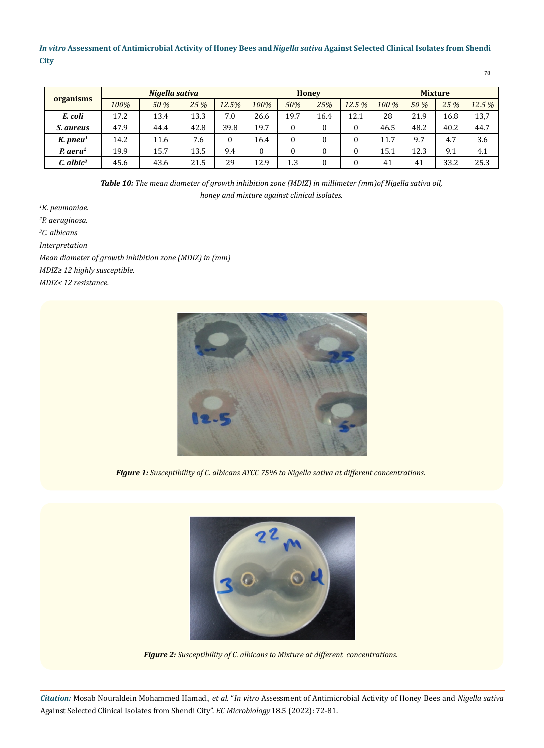| organisms               | Nigella sativa |             |      |       |      | <b>Honey</b> |      |       |       | <b>Mixture</b> |      |       |  |
|-------------------------|----------------|-------------|------|-------|------|--------------|------|-------|-------|----------------|------|-------|--|
|                         | 100%           | <b>50 %</b> | 25%  | 12.5% | 100% | 50%          | 25%  | 12.5% | 100 % | 50 %           | 25%  | 12.5% |  |
| E. coli                 | 17.2           | 13.4        | 13.3 | 7.0   | 26.6 | 19.7         | 16.4 | 12.1  | 28    | 21.9           | 16.8 | 13,7  |  |
| <i>S. aureus</i>        | 47.9           | 44.4        | 42.8 | 39.8  | 19.7 |              | 0    | 0     | 46.5  | 48.2           | 40.2 | 44.7  |  |
| K. $pneu1$              | 14.2           | 11.6        | 7.6  |       | 16.4 |              | 0    | 0     | 11.7  | 9.7            | 4.7  | 3.6   |  |
| $P.$ aeru <sup>2</sup>  | 19.9           | 15.7        | 13.5 | 9.4   |      |              | 0    | 0     | 15.1  | 12.3           | 9.1  | 4.1   |  |
| $C.$ albic <sup>3</sup> | 45.6           | 43.6        | 21.5 | 29    | 12.9 | 1.3          | 0    | 0     | 41    | 41             | 33.2 | 25.3  |  |

*Table 10: The mean diameter of growth inhibition zone (MDIZ) in millimeter (mm)of Nigella sativa oil, honey and mixture against clinical isolates.*

*1 K. peumoniae. 2 P. aeruginosa. 3 C. albicans Interpretation Mean diameter of growth inhibition zone (MDIZ) in (mm) MDIZ≥ 12 highly susceptible. MDIZ< 12 resistance.*



*Figure 1: Susceptibility of C. albicans ATCC 7596 to Nigella sativa at different concentrations.*



*Figure 2: Susceptibility of C. albicans to Mixture at different concentrations.*

*Citation:* Mosab Nouraldein Mohammed Hamad*., et al.* "*In vitro* Assessment of Antimicrobial Activity of Honey Bees and *Nigella sativa*  Against Selected Clinical Isolates from Shendi City". *EC Microbiology* 18.5 (2022): 72-81.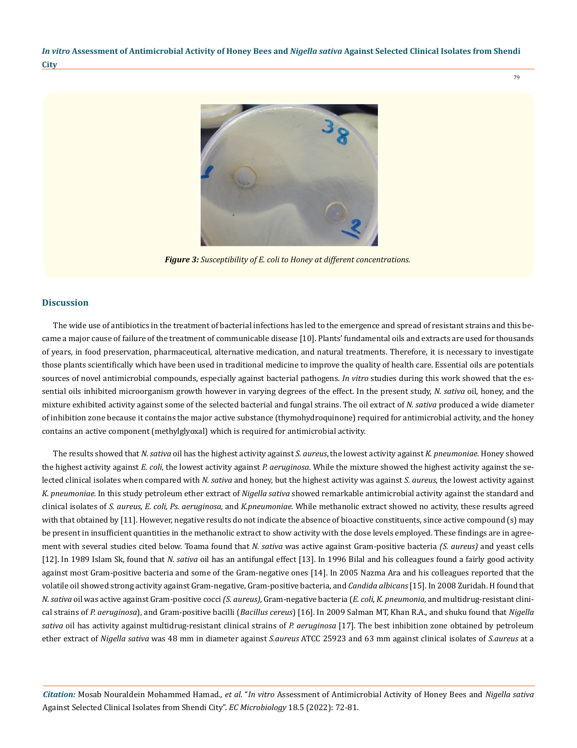79



*Figure 3: Susceptibility of E. coli to Honey at different concentrations.*

# **Discussion**

The wide use of antibiotics in the treatment of bacterial infections has led to the emergence and spread of resistant strains and this became a major cause of failure of the treatment of communicable disease [10]. Plants' fundamental oils and extracts are used for thousands of years, in food preservation, pharmaceutical, alternative medication, and natural treatments. Therefore, it is necessary to investigate those plants scientifically which have been used in traditional medicine to improve the quality of health care. Essential oils are potentials sources of novel antimicrobial compounds, especially against bacterial pathogens. *In vitro* studies during this work showed that the essential oils inhibited microorganism growth however in varying degrees of the effect. In the present study, *N. sativa* oil, honey, and the mixture exhibited activity against some of the selected bacterial and fungal strains. The oil extract of *N. sativa* produced a wide diameter of inhibition zone because it contains the major active substance (thymohydroquinone) required for antimicrobial activity, and the honey contains an active component (methylglyoxal) which is required for antimicrobial activity.

The results showed that *N. sativa* oil has the highest activity against *S. aureus*, the lowest activity against *K. pneumoniae*. Honey showed the highest activity against *E. coli*, the lowest activity against *P. aeruginosa*. While the mixture showed the highest activity against the selected clinical isolates when compared with *N. sativa* and honey, but the highest activity was against *S. aureus*, the lowest activity against *K. pneumoniae.* In this study petroleum ether extract of *Nigella sativa* showed remarkable antimicrobial activity against the standard and clinical isolates of *S. aureus, E. coli, Ps. aeruginosa,* and *K.pneumoniae.* While methanolic extract showed no activity, these results agreed with that obtained by [11]. However, negative results do not indicate the absence of bioactive constituents, since active compound (s) may be present in insufficient quantities in the methanolic extract to show activity with the dose levels employed. These findings are in agreement with several studies cited below. Toama found that *N. sativa* was active against Gram-positive bacteria *(S. aureus)* and yeast cells [12]. In 1989 Islam Sk, found that *N. sativa* oil has an antifungal effect [13]. In 1996 Bilal and his colleagues found a fairly good activity against most Gram-positive bacteria and some of the Gram-negative ones [14]. In 2005 Nazma Ara and his colleagues reported that the volatile oil showed strong activity against Gram-negative, Gram-positive bacteria, and *Candida albicans* [15]. In 2008 Zuridah. H found that *N. sativa* oil was active against Gram-positive cocci *(S. aureus),* Gram-negative bacteria (*E. coli*, *K. pneumonia,* and multidrug-resistant clinical strains of *P. aeruginosa*), and Gram-positive bacilli (*Bacillus cereus*) [16]. In 2009 Salman MT, Khan R.A., and shuku found that *Nigella sativa* oil has activity against multidrug-resistant clinical strains of *P. aeruginosa* [17]*.* The best inhibition zone obtained by petroleum ether extract of *Nigella sativa* was 48 mm in diameter against *S.aureus* ATCC 25923 and 63 mm against clinical isolates of *S.aureus* at a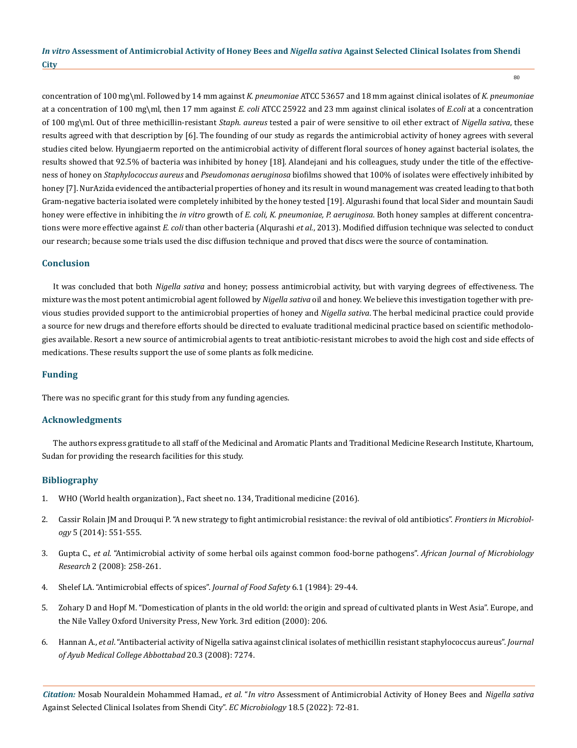concentration of 100 mg\ml. Followed by 14 mm against *K. pneumoniae* ATCC 53657 and 18 mm against clinical isolates of *K. pneumoniae* at a concentration of 100 mg\ml, then 17 mm against *E. coli* ATCC 25922 and 23 mm against clinical isolates of *E.coli* at a concentration of 100 mg\ml. Out of three methicillin-resistant *Staph. aureus* tested a pair of were sensitive to oil ether extract of *Nigella sativa*, these results agreed with that description by [6]. The founding of our study as regards the antimicrobial activity of honey agrees with several studies cited below. Hyungjaerm reported on the antimicrobial activity of different floral sources of honey against bacterial isolates, the results showed that 92.5% of bacteria was inhibited by honey [18]. Alandejani and his colleagues, study under the title of the effectiveness of honey on *Staphylococcus aureus* and *Pseudomonas aeruginosa* biofilms showed that 100% of isolates were effectively inhibited by honey [7]. NurAzida evidenced the antibacterial properties of honey and its result in wound management was created leading to that both Gram-negative bacteria isolated were completely inhibited by the honey tested [19]. Algurashi found that local Sider and mountain Saudi honey were effective in inhibiting the *in vitro* growth of *E. coli, K. pneumoniae, P. aeruginosa*. Both honey samples at different concentrations were more effective against *E. coli* than other bacteria (Alqurashi *et al.*, 2013). Modified diffusion technique was selected to conduct our research; because some trials used the disc diffusion technique and proved that discs were the source of contamination.

# **Conclusion**

It was concluded that both *Nigella sativa* and honey; possess antimicrobial activity, but with varying degrees of effectiveness. The mixture was the most potent antimicrobial agent followed by *Nigella sativa* oil and honey. We believe this investigation together with previous studies provided support to the antimicrobial properties of honey and *Nigella sativa*. The herbal medicinal practice could provide a source for new drugs and therefore efforts should be directed to evaluate traditional medicinal practice based on scientific methodologies available. Resort a new source of antimicrobial agents to treat antibiotic-resistant microbes to avoid the high cost and side effects of medications. These results support the use of some plants as folk medicine.

# **Funding**

There was no specific grant for this study from any funding agencies.

# **Acknowledgments**

The authors express gratitude to all staff of the Medicinal and Aromatic Plants and Traditional Medicine Research Institute, Khartoum, Sudan for providing the research facilities for this study.

# **Bibliography**

- 1. [WHO \(World health organization\)., Fact sheet no. 134, Traditional medicine \(2016\).](https://www.who.int/health-topics/traditional-complementary-and-integrative-medicine)
- 2. [Cassir Rolain JM and Drouqui P. "A new strategy to fight antimicrobial resistance: the revival of old antibiotics".](https://www.frontiersin.org/articles/10.3389/fmicb.2014.00551/full) *Frontiers in Microbiology* [5 \(2014\): 551-555.](https://www.frontiersin.org/articles/10.3389/fmicb.2014.00551/full)
- 3. Gupta C., *et al*[. "Antimicrobial activity of some herbal oils against common food-borne pathogens".](https://www.researchgate.net/publication/228714931_Antimicrobial_activity_of_some_herbal_oils_against_common_food-borne_pathogens) *African Journal of Microbiology Research* [2 \(2008\): 258-261.](https://www.researchgate.net/publication/228714931_Antimicrobial_activity_of_some_herbal_oils_against_common_food-borne_pathogens)
- 4. [Shelef LA. "Antimicrobial effects of spices".](https://www.ncbi.nlm.nih.gov/pmc/articles/PMC5486105/) *Journal of Food Safety* 6.1 (1984): 29-44.
- 5. [Zohary D and Hopf M. "Domestication of plants in the old world: the origin and spread of cultivated plants in West Asia". Europe, and](https://oxford.universitypressscholarship.com/view/10.1093/acprof:osobl/9780199549061.001.0001/acprof-9780199549061) [the Nile Valley Oxford University Press, New York. 3rd edition \(2000\): 206.](https://oxford.universitypressscholarship.com/view/10.1093/acprof:osobl/9780199549061.001.0001/acprof-9780199549061)
- 6. Hannan A., *et al*[. "Antibacterial activity of Nigella sativa against clinical isolates of methicillin resistant staphylococcus aureus".](https://pubmed.ncbi.nlm.nih.gov/19610522/) *Journal [of Ayub Medical College Abbottabad](https://pubmed.ncbi.nlm.nih.gov/19610522/)* 20.3 (2008): 7274.

*Citation:* Mosab Nouraldein Mohammed Hamad*., et al.* "*In vitro* Assessment of Antimicrobial Activity of Honey Bees and *Nigella sativa*  Against Selected Clinical Isolates from Shendi City". *EC Microbiology* 18.5 (2022): 72-81.